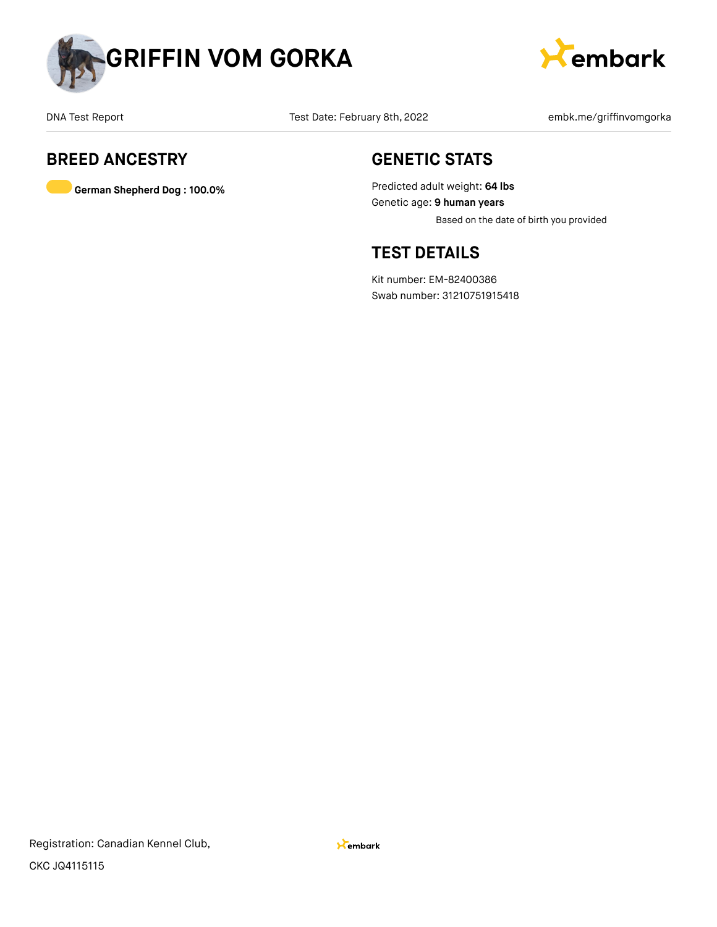



## **BREED ANCESTRY**

**German Shepherd Dog : 100.0%**

## **GENETIC STATS**

Predicted adult weight: **64 lbs** Genetic age: **9 human years** Based on the date of birth you provided

## **TEST DETAILS**

Kit number: EM-82400386 Swab number: 31210751915418

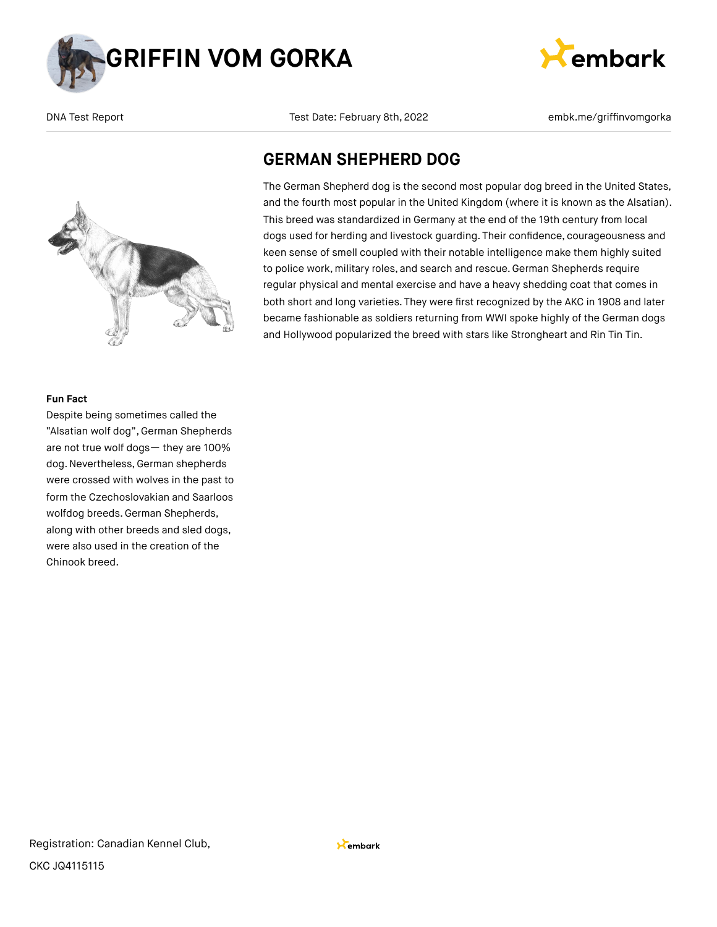





**GERMAN SHEPHERD DOG**

The German Shepherd dog is the second most popular dog breed in the United States, and the fourth most popular in the United Kingdom (where it is known as the Alsatian). This breed was standardized in Germany at the end of the 19th century from local dogs used for herding and livestock guarding. Their confidence, courageousness and keen sense of smell coupled with their notable intelligence make them highly suited to police work, military roles, and search and rescue. German Shepherds require regular physical and mental exercise and have a heavy shedding coat that comes in both short and long varieties. They were first recognized by the AKC in 1908 and later became fashionable as soldiers returning from WWI spoke highly of the German dogs and Hollywood popularized the breed with stars like Strongheart and Rin Tin Tin.

#### **Fun Fact**

Despite being sometimes called the "Alsatian wolf dog", German Shepherds are not true wolf dogs— they are 100% dog. Nevertheless, German shepherds were crossed with wolves in the past to form the Czechoslovakian and Saarloos wolfdog breeds. German Shepherds, along with other breeds and sled dogs, were also used in the creation of the Chinook breed.

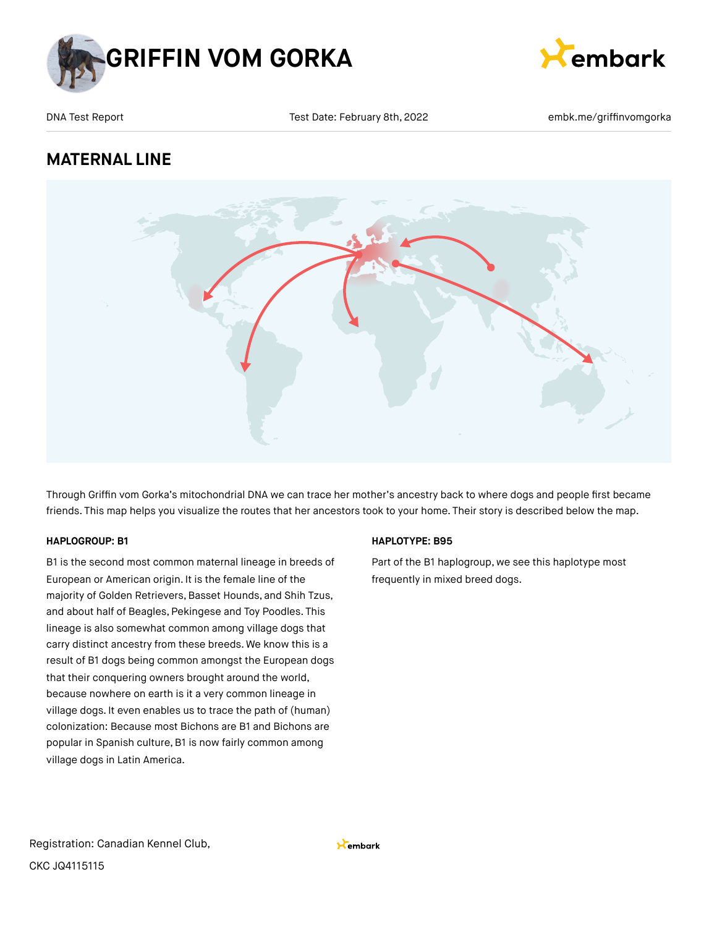



## **MATERNAL LINE**



Through Griffin vom Gorka's mitochondrial DNA we can trace her mother's ancestry back to where dogs and people first became friends. This map helps you visualize the routes that her ancestors took to your home. Their story is described below the map.

### **HAPLOGROUP: B1**

B1 is the second most common maternal lineage in breeds of European or American origin. It is the female line of the majority of Golden Retrievers, Basset Hounds, and Shih Tzus, and about half of Beagles, Pekingese and Toy Poodles. This lineage is also somewhat common among village dogs that carry distinct ancestry from these breeds. We know this is a result of B1 dogs being common amongst the European dogs that their conquering owners brought around the world, because nowhere on earth is it a very common lineage in village dogs. It even enables us to trace the path of (human) colonization: Because most Bichons are B1 and Bichons are popular in Spanish culture, B1 is now fairly common among village dogs in Latin America.

### **HAPLOTYPE: B95**

Part of the B1 haplogroup, we see this haplotype most frequently in mixed breed dogs.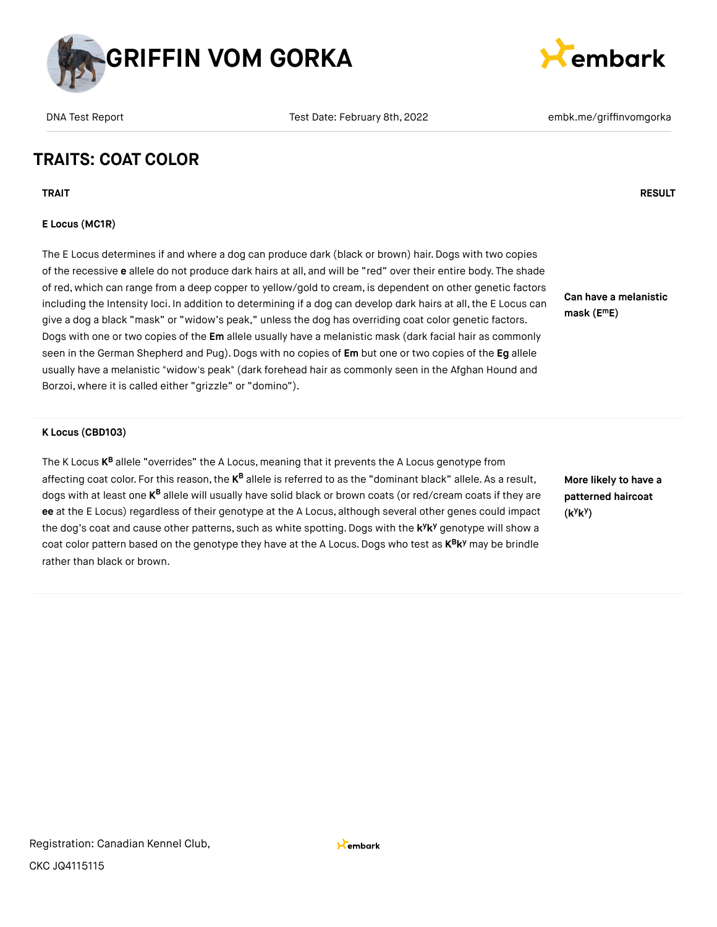



# **TRAITS: COAT COLOR**

**TRAIT RESULT**

## **E Locus (MC1R)**

The E Locus determines if and where a dog can produce dark (black or brown) hair. Dogs with two copies of the recessive **e** allele do not produce dark hairs at all, and will be "red" over their entire body. The shade of red, which can range from a deep copper to yellow/gold to cream, is dependent on other genetic factors including the Intensity loci. In addition to determining if a dog can develop dark hairs at all, the E Locus can give a dog a black "mask" or "widow's peak," unless the dog has overriding coat color genetic factors. Dogs with one or two copies of the **Em** allele usually have a melanistic mask (dark facial hair as commonly seen in the German Shepherd and Pug).Dogs with no copies of **Em** but one or two copies of the **Eg** allele usually have a melanistic "widow's peak" (dark forehead hair as commonly seen in the Afghan Hound and Borzoi, where it is called either "grizzle" or "domino").

### **K Locus (CBD103)**

The K Locus **K<sup>B</sup>** allele "overrides" the A Locus, meaning that it prevents the A Locus genotype from affecting coat color. For this reason, the **K<sup>B</sup> allele is referred to as the "dominant** black" allele. As a result, dogs with at least one **K<sup>B</sup> allele will usually have solid black** or brown coats (or red/cream coats if they are **ee** at the E Locus) regardless of their genotype at the A Locus, although several other genes could impact the dog's coat and cause other patterns, such as white spotting. Dogs with the k<sup>y</sup>k<sup>y</sup> genotype will show a coat color pattern based on the genotype they have at the A Locus. Dogs who test as  $K^B K^y$  may be brindle rather than black or brown.

**Can have a melanistic mask (E E) m**

**More likely to have a patterned haircoat (k k ) y y**

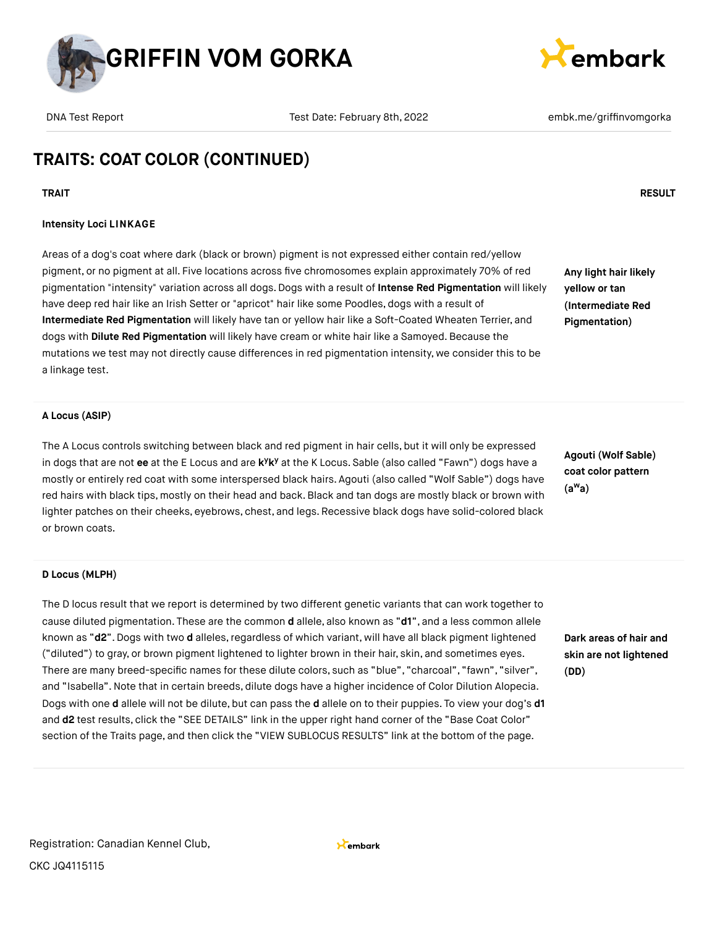



# **TRAITS: COAT COLOR (CONTINUED)**

## **TRAIT RESULT**

## **Intensity Loci LINKAGE**

Areas of a dog's coat where dark (black or brown) pigment is not expressed either contain red/yellow pigment, or no pigment at all. Five locations across five chromosomes explain approximately 70% of red pigmentation "intensity" variation across all dogs. Dogs with a result of **Intense Red Pigmentation** will likely have deep red hair like an Irish Setter or "apricot" hair like some Poodles, dogs with a result of **Intermediate Red Pigmentation** will likely have tan or yellow hair like a Soft-Coated Wheaten Terrier, and dogs with **Dilute Red Pigmentation** will likely have cream or white hair like a Samoyed. Because the mutations we test may not directly cause differences in red pigmentation intensity, we consider this to be a linkage test.

**Any light hair likely yellow or tan (Intermediate Red Pigmentation)**

### **A Locus (ASIP)**

The A Locus controls switching between black and red pigment in hair cells, but it will only be expressed in dogs that are not ee at the E Locus and are k<sup>y</sup>k<sup>y</sup> at the K Locus. Sable (also called "Fawn") dogs have a mostly or entirely red coat with some interspersed black hairs. Agouti (also called "Wolf Sable") dogs have red hairs with black tips, mostly on their head and back.Black and tan dogs are mostly black or brown with lighter patches on their cheeks, eyebrows, chest, and legs. Recessive black dogs have solid-colored black or brown coats.

**Agouti (Wolf Sable) coat color pattern (a a) w**

#### **D Locus (MLPH)**

The D locus result that we report is determined by two different genetic variants that can work together to cause diluted pigmentation. These are the common **d** allele, also known as "**d1**", and a less common allele known as "d2". Dogs with two d alleles, regardless of which variant, will have all black pigment lightened ("diluted") to gray, or brown pigment lightened to lighter brown in their hair, skin, and sometimes eyes. There are many breed-specific names for these dilute colors, such as "blue", "charcoal", "fawn", "silver", and "Isabella".Note that in certain breeds, dilute dogs have a higher incidence of Color Dilution Alopecia. Dogs with one **d** allele will not be dilute, but can pass the **d** allele on to their puppies. To view your dog's **d1** and **d2** test results, click the "SEE DETAILS" link in the upper right hand corner of the "Base Coat Color" section of the Traits page, and then click the "VIEW SUBLOCUS RESULTS" link at the bottom of the page.

**Dark areas of hair and skin are not lightened (DD)**

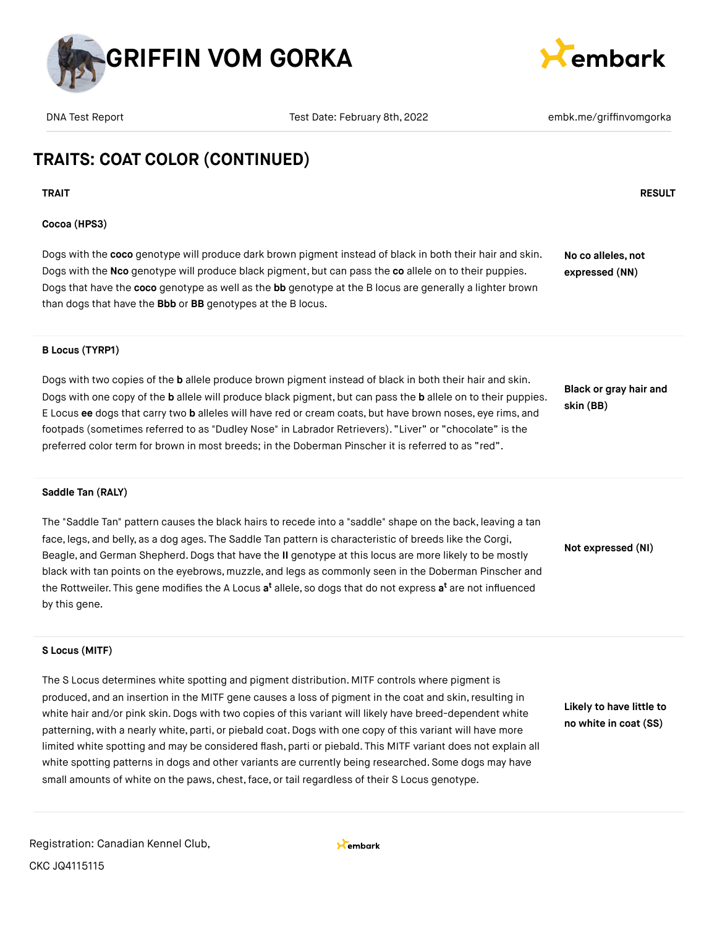



# **TRAITS: COAT COLOR (CONTINUED)**

### **TRAIT RESULT**

### **Cocoa (HPS3)**

Dogs with the **coco** genotype will produce dark brown pigment instead of black in both their hair and skin. Dogs with the **Nco** genotype will produce black pigment, but can pass the **co** allele on to their puppies. Dogs that have the **coco** genotype as well as the **bb** genotype at the B locus are generally a lighter brown than dogs that have the **Bbb** or **BB** genotypes at the B locus. **No co alleles, not expressed (NN)**

### **B Locus (TYRP1)**

Dogs with two copies of the **b** allele produce brown pigment instead of black in both their hair and skin. Dogs with one copy of the **b** allele will produce black pigment, but can pass the **b** allele on to their puppies. E Locus **ee** dogs that carry two **b** alleles will have red or cream coats, but have brown noses, eye rims, and footpads (sometimes referred to as "Dudley Nose" in Labrador Retrievers). "Liver" or "chocolate" is the preferred color term for brown in most breeds; in the Doberman Pinscher it is referred to as "red".

**Black or gray hair and skin (BB)**

#### **Saddle Tan (RALY)**

The "Saddle Tan" pattern causes the black hairs to recede into a "saddle" shape on the back, leaving a tan face, legs, and belly, as a dog ages. The Saddle Tan pattern is characteristic of breeds like the Corgi, Beagle, and German Shepherd.Dogs that have the **II** genotype at this locus are more likely to be mostly black with tan points on the eyebrows, muzzle, and legs as commonly seen in the Doberman Pinscher and the Rottweiler. This gene modifies the A Locus **a<sup>t</sup>** allele, so dogs that do not express **a<sup>t</sup>** are not influenced by this gene.

**Not expressed (NI)**

### **S Locus (MITF)**

The S Locus determines white spotting and pigment distribution. MITF controls where pigment is produced, and an insertion in the MITF gene causes a loss of pigment in the coat and skin, resulting in white hair and/or pink skin. Dogs with two copies of this variant will likely have breed-dependent white patterning, with a nearly white, parti, or piebald coat.Dogs with one copy of this variant will have more limited white spotting and may be considered flash, parti or piebald. This MITF variant does not explain all white spotting patterns in dogs and other variants are currently being researched. Some dogs may have small amounts of white on the paws, chest, face, or tail regardless of their S Locus genotype.

**Likely to have little to no white in coat (SS)**

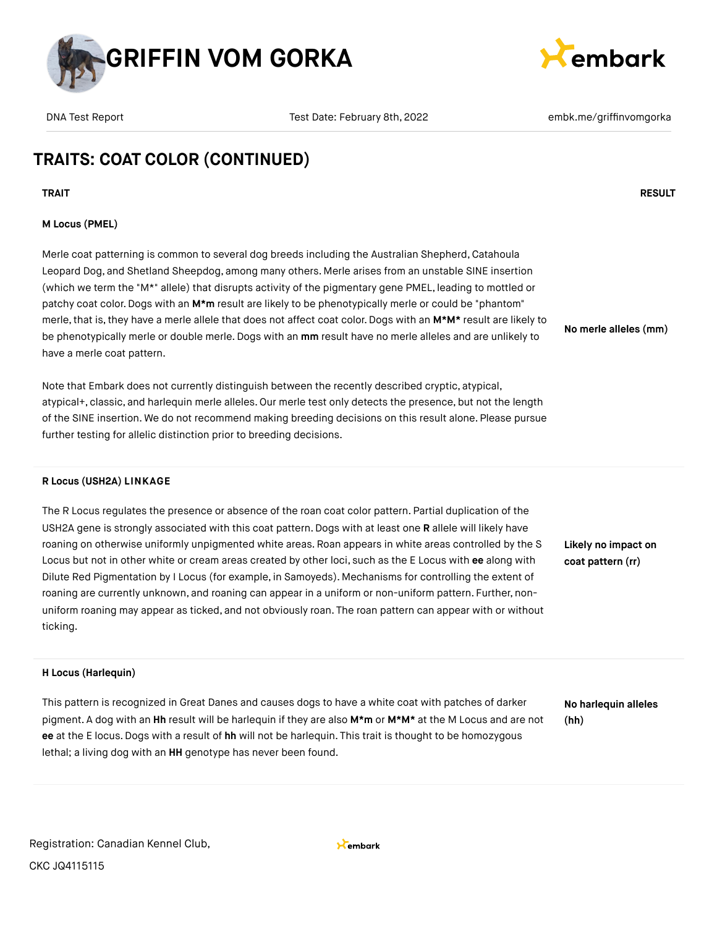



# **TRAITS: COAT COLOR (CONTINUED)**

**TRAIT RESULT**

### **M Locus (PMEL)**

Merle coat patterning is common to several dog breeds including the Australian Shepherd, Catahoula Leopard Dog, and Shetland Sheepdog, among many others. Merle arises from an unstable SINE insertion (which we term the "M\*" allele) that disrupts activity of the pigmentary gene PMEL, leading to mottled or patchy coat color.Dogs with an **M\*m** result are likely to be phenotypically merle or could be "phantom" merle, that is, they have a merle allele that does not affect coat color. Dogs with an M\*M\* result are likely to be phenotypically merle or double merle.Dogs with an **mm** result have no merle alleles and are unlikely to have a merle coat pattern.

Note that Embark does not currently distinguish between the recently described cryptic, atypical, atypical+, classic, and harlequin merle alleles. Our merle test only detects the presence, but not the length of the SINE insertion. We do not recommend making breeding decisions on this result alone. Please pursue further testing for allelic distinction prior to breeding decisions.

#### **R Locus (USH2A) LINKAGE**

The R Locus regulates the presence or absence of the roan coat color pattern. Partial duplication of the USH2A gene is strongly associated with this coat pattern. Dogs with at least one **R** allele will likely have roaning on otherwise uniformly unpigmented white areas. Roan appears in white areas controlled by the S Locus but not in other white or cream areas created by other loci, such as the E Locus with **ee** along with Dilute Red Pigmentation by I Locus (for example, in Samoyeds). Mechanisms for controlling the extent of roaning are currently unknown, and roaning can appear in a uniform or non-uniform pattern. Further, nonuniform roaning may appear as ticked, and not obviously roan. The roan pattern can appear with or without ticking.

### **H Locus (Harlequin)**

This pattern is recognized in Great Danes and causes dogs to have a white coat with patches of darker pigment. A dog with an **Hh** result will be harlequin if they are also **M\*m** or **M\*M\*** at the M Locus and are not **ee** at the E locus.Dogs with a result of **hh** will not be harlequin. This trait is thought to be homozygous lethal; a living dog with an **HH** genotype has never been found.

**No harlequin alleles (hh)**

**No merle alleles (mm)**

**Likely no impact on coat pattern (rr)**

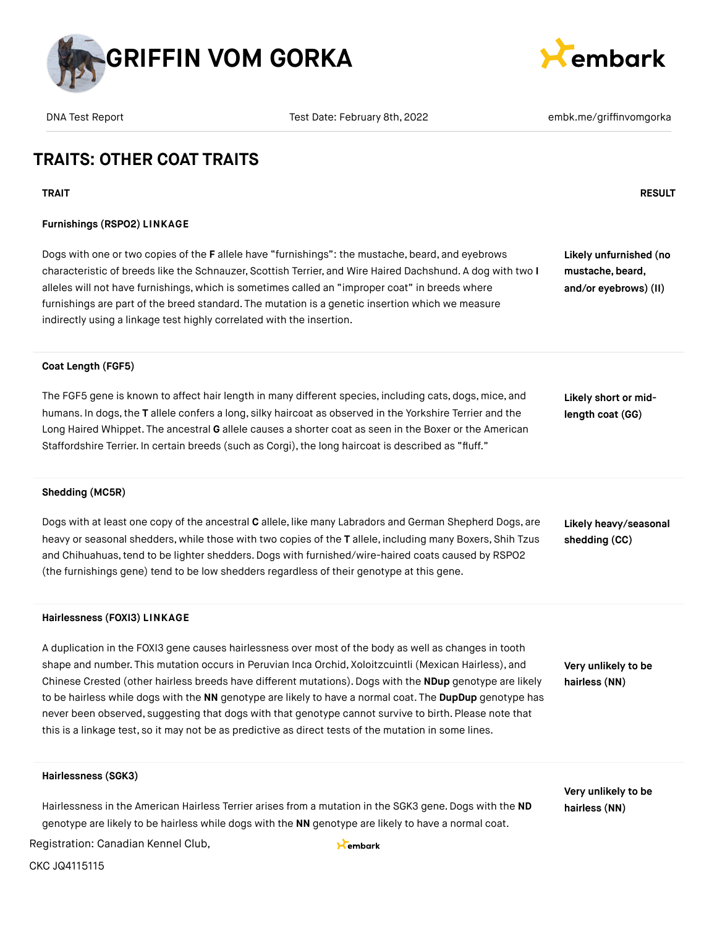



## **TRAITS: OTHER COAT TRAITS**

### **TRAIT RESULT**

### **Furnishings (RSPO2) LINKAGE**

Dogs with one or two copies of the **F** allele have "furnishings": the mustache, beard, and eyebrows characteristic of breeds like the Schnauzer, Scottish Terrier, and Wire Haired Dachshund. A dog with two **I** alleles will not have furnishings, which is sometimes called an "improper coat" in breeds where furnishings are part of the breed standard. The mutation is a genetic insertion which we measure indirectly using a linkage test highly correlated with the insertion.

**Likely unfurnished (no mustache, beard,**

**and/or eyebrows) (II)**

#### **Coat Length (FGF5)**

The FGF5 gene is known to affect hair length in many different species, including cats, dogs, mice, and humans. In dogs,the **T** allele confers a long, silky haircoat as observed in the Yorkshire Terrier and the Long Haired Whippet. The ancestral **G** allele causes a shorter coat as seen in the Boxer or the American Staffordshire Terrier. In certain breeds (such as Corgi), the long haircoat is described as "fluff."

**Likely short or midlength coat (GG)**

#### **Shedding (MC5R)**

Dogs with at least one copy of the ancestral **C** allele, like many Labradors and German Shepherd Dogs, are heavy or seasonal shedders, while those with two copies of the **T** allele, including many Boxers, Shih Tzus and Chihuahuas,tend to be lighter shedders.Dogs with furnished/wire-haired coats caused by RSPO2 (the furnishings gene) tend to be low shedders regardless of their genotype at this gene. **Likely heavy/seasonal shedding (CC)**

#### **Hairlessness (FOXI3) LINKAGE**

A duplication in the FOXI3 gene causes hairlessness over most of the body as well as changes in tooth shape and number. This mutation occurs in Peruvian Inca Orchid, Xoloitzcuintli (Mexican Hairless), and Chinese Crested (other hairless breeds have different mutations). Dogs with the **NDup** genotype are likely to be hairless while dogs with the **NN** genotype are likely to have a normal coat. The **DupDup** genotype has never been observed, suggesting that dogs with that genotype cannot survive to birth. Please note that this is a linkage test, so it may not be as predictive as direct tests of the mutation in some lines.

**Very unlikely to be hairless (NN)**

**Very unlikely to be hairless (NN)**

#### **Hairlessness (SGK3)**

Hairlessness in the American Hairless Terrier arises from a mutation in the SGK3 gene. Dogs with the **ND** genotype are likely to be hairless while dogs with the **NN** genotype are likely to have a normal coat.

Registration: Canadian Kennel Club,

Kembark

CKC JQ4115115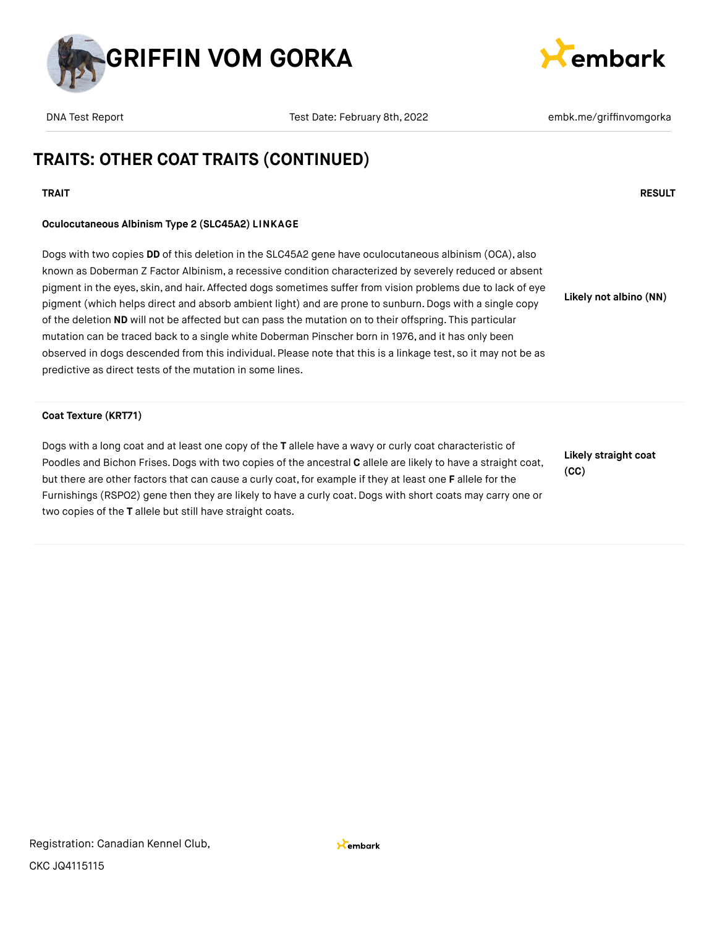



# **TRAITS: OTHER COAT TRAITS (CONTINUED)**

### **TRAIT RESULT**

### **Oculocutaneous Albinism Type 2 (SLC45A2) LINKAGE**

Dogs with two copies **DD** of this deletion in the SLC45A2 gene have oculocutaneous albinism (OCA), also known as Doberman Z Factor Albinism, a recessive condition characterized by severely reduced or absent pigment in the eyes, skin, and hair. Affected dogs sometimes suffer from vision problems due to lack of eye pigment (which helps direct and absorb ambient light) and are prone to sunburn. Dogs with a single copy of the deletion **ND** will not be affected but can pass the mutation on to their offspring. This particular mutation can be traced back to a single white Doberman Pinscher born in 1976, and it has only been observed in dogs descended from this individual. Please note that this is a linkage test, so it may not be as predictive as direct tests of the mutation in some lines. **Likely not albino (NN)**

### **Coat Texture (KRT71)**

Dogs with a long coat and at least one copy of the **T** allele have a wavy or curly coat characteristic of Poodles and Bichon Frises.Dogs with two copies of the ancestral **C** allele are likely to have a straight coat, but there are other factors that can cause a curly coat,for example if they at least one **F** allele for the Furnishings (RSPO2) gene then they are likely to have a curly coat.Dogs with short coats may carry one or two copies of the **T** allele but still have straight coats.

**Likely straight coat (CC)**

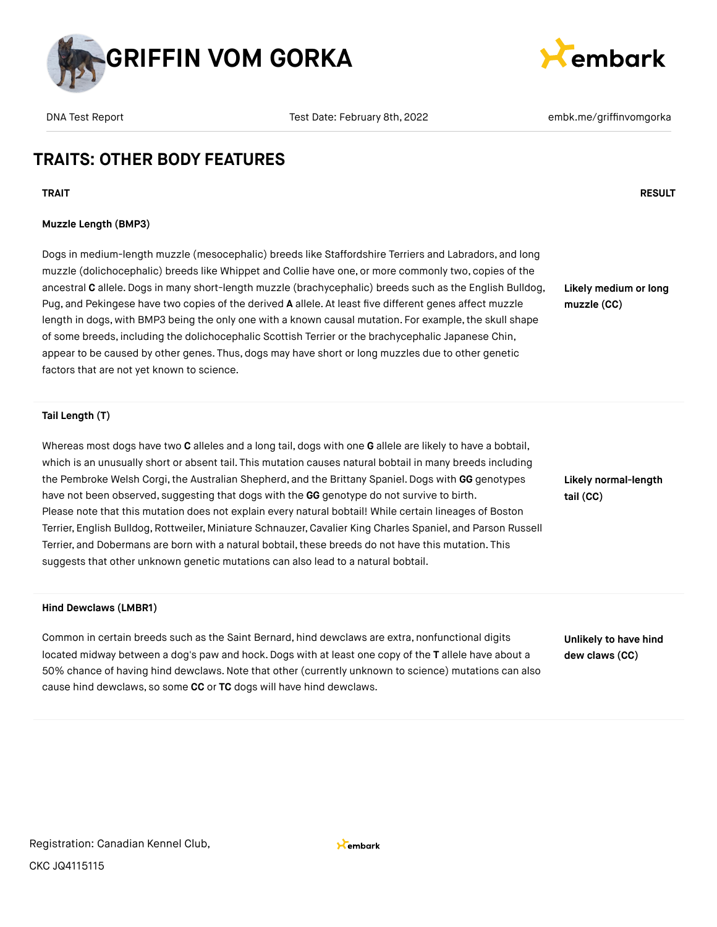



## **TRAITS: OTHER BODY FEATURES**

**TRAIT RESULT**

### **Muzzle Length (BMP3)**

Dogs in medium-length muzzle (mesocephalic) breeds like Staffordshire Terriers and Labradors, and long muzzle (dolichocephalic) breeds like Whippet and Collie have one, or more commonly two, copies of the ancestral **C** allele.Dogs in many short-length muzzle (brachycephalic) breeds such as the English Bulldog, Pug, and Pekingese have two copies of the derived **A** allele. At least five different genes affect muzzle length in dogs, with BMP3 being the only one with a known causal mutation. For example, the skull shape of some breeds, including the dolichocephalic Scottish Terrier or the brachycephalic Japanese Chin, appear to be caused by other genes. Thus, dogs may have short or long muzzles due to other genetic factors that are not yet known to science.

**Likely medium or long muzzle (CC)**

#### **Tail Length (T)**

Whereas most dogs have two **C** alleles and a long tail, dogs with one **G** allele are likely to have a bobtail, which is an unusually short or absent tail. This mutation causes natural bobtail in many breeds including the Pembroke Welsh Corgi, the Australian Shepherd, and the Brittany Spaniel. Dogs with GG genotypes have not been observed, suggesting that dogs with the **GG** genotype do not survive to birth. Please note that this mutation does not explain every natural bobtail! While certain lineages of Boston Terrier, English Bulldog,Rottweiler, Miniature Schnauzer, Cavalier King Charles Spaniel, and Parson Russell Terrier, and Dobermans are born with a natural bobtail, these breeds do not have this mutation. This suggests that other unknown genetic mutations can also lead to a natural bobtail.

**Likely normal-length tail (CC)**

#### **Hind Dewclaws (LMBR1)**

Common in certain breeds such as the Saint Bernard, hind dewclaws are extra, nonfunctional digits located midway between a dog's paw and hock.Dogs with at least one copy of the **T** allele have about a 50% chance of having hind dewclaws.Note that other (currently unknown to science) mutations can also cause hind dewclaws, so some **CC** or **TC** dogs will have hind dewclaws.

**Unlikely to have hind dew claws (CC)**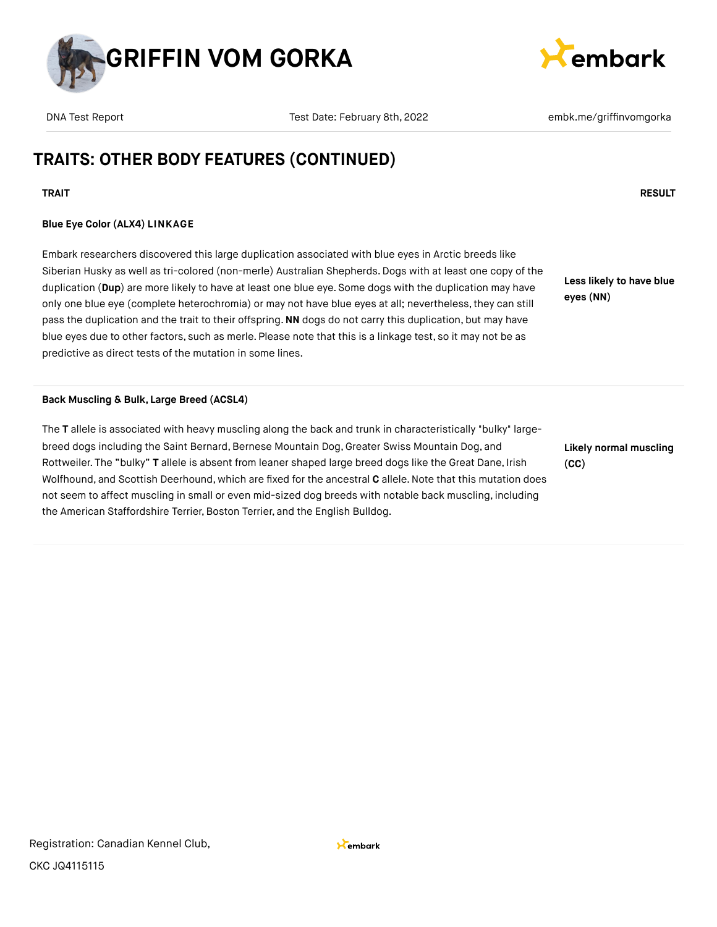



# **TRAITS: OTHER BODY FEATURES (CONTINUED)**

## **TRAIT RESULT**

### **Blue Eye Color (ALX4) LINKAGE**

Embark researchers discovered this large duplication associated with blue eyes in Arctic breeds like Siberian Husky as well as tri-colored (non-merle) Australian Shepherds. Dogs with at least one copy of the duplication (**Dup**) are more likely to have at least one blue eye. Some dogs with the duplication may have only one blue eye (complete heterochromia) or may not have blue eyes at all; nevertheless, they can still pass the duplication and the trait to their offspring.**NN** dogs do not carry this duplication, but may have blue eyes due to other factors, such as merle. Please note that this is a linkage test, so it may not be as predictive as direct tests of the mutation in some lines.

**Less likely to have blue eyes (NN)**

**Back Muscling & Bulk, Large Breed (ACSL4)**

The **T** allele is associated with heavy muscling along the back and trunk in characteristically "bulky" largebreed dogs including the Saint Bernard, Bernese Mountain Dog, Greater Swiss Mountain Dog, and Rottweiler. The "bulky" **T** allele is absent from leaner shaped large breed dogs like the Great Dane, Irish Wolfhound, and Scottish Deerhound, which are fixed for the ancestral **C** allele.Note that this mutation does not seem to affect muscling in small or even mid-sized dog breeds with notable back muscling, including the American Staffordshire Terrier, Boston Terrier, and the English Bulldog.

**Likely normal muscling (CC)**

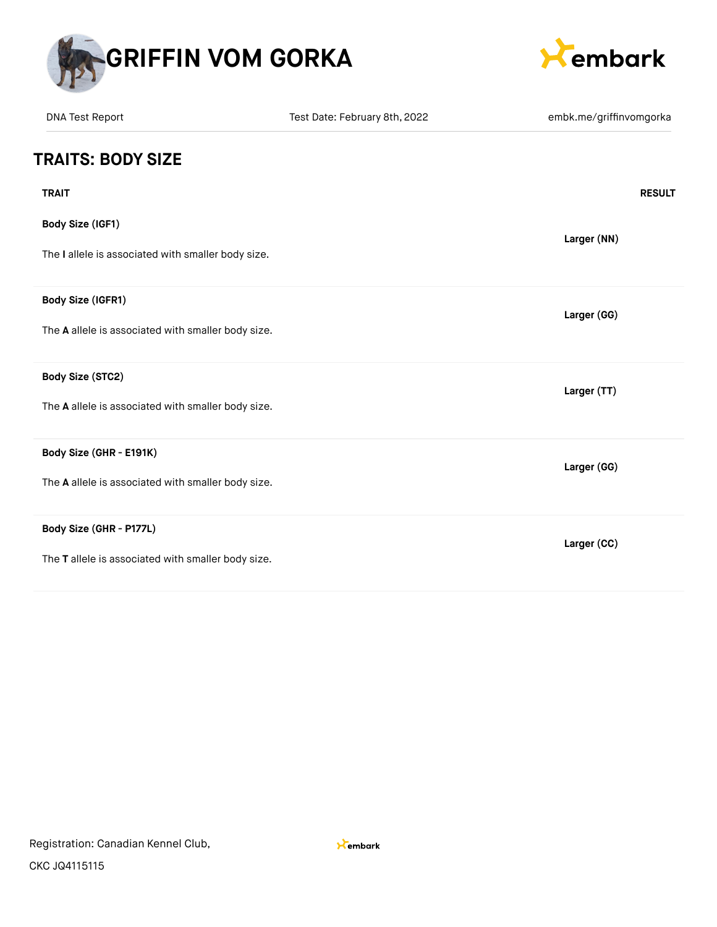



| <b>DNA Test Report</b>                             | Test Date: February 8th, 2022 | embk.me/griffinvomgorka |
|----------------------------------------------------|-------------------------------|-------------------------|
| <b>TRAITS: BODY SIZE</b>                           |                               |                         |
| <b>TRAIT</b>                                       |                               | <b>RESULT</b>           |
| <b>Body Size (IGF1)</b>                            |                               | Larger (NN)             |
| The I allele is associated with smaller body size. |                               |                         |
| Body Size (IGFR1)                                  |                               | Larger (GG)             |
| The A allele is associated with smaller body size. |                               |                         |
| Body Size (STC2)                                   |                               | Larger (TT)             |
| The A allele is associated with smaller body size. |                               |                         |
| Body Size (GHR - E191K)                            |                               | Larger (GG)             |
| The A allele is associated with smaller body size. |                               |                         |
| Body Size (GHR - P177L)                            |                               | Larger (CC)             |
| The T allele is associated with smaller body size. |                               |                         |

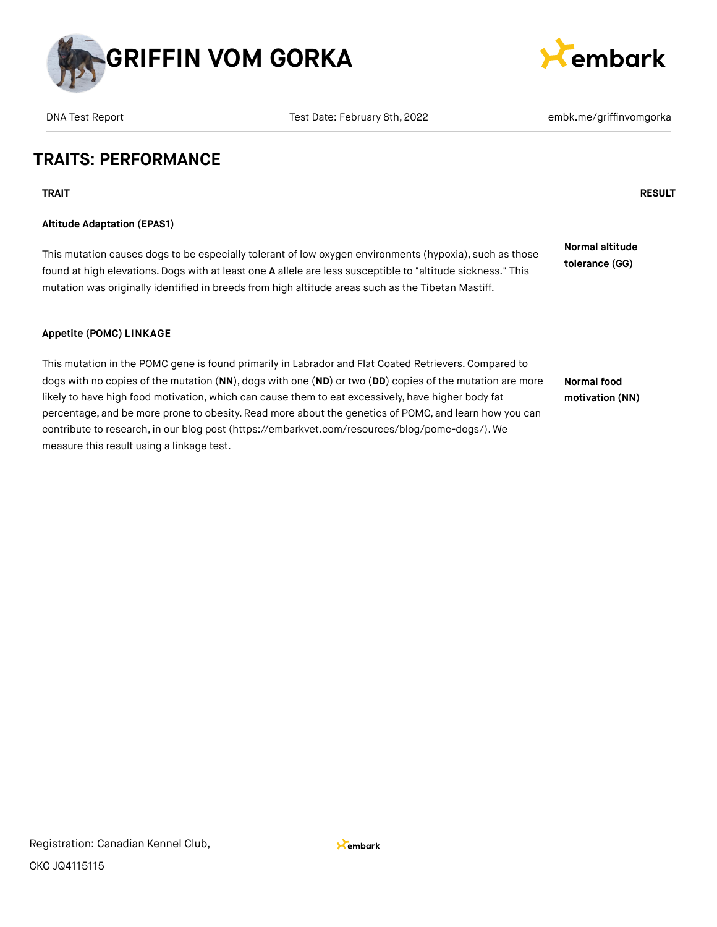



## **TRAITS: PERFORMANCE**

**TRAIT RESULT**

## **Altitude Adaptation (EPAS1)**

This mutation causes dogs to be especially tolerant of low oxygen environments (hypoxia), such as those found at high elevations.Dogs with at least one **A** allele are less susceptible to "altitude sickness." This mutation was originally identified in breeds from high altitude areas such as the Tibetan Mastiff.

**Normal altitude tolerance (GG)**

### **Appetite (POMC) LINKAGE**

This mutation in the POMC gene is found primarily in Labrador and Flat Coated Retrievers. Compared to dogs with no copies of the mutation (**NN**), dogs with one (**ND**) or two (**DD**) copies of the mutation are more likely to have high food motivation, which can cause them to eat excessively, have higher body fat percentage, and be more prone to obesity.Read more about the genetics of POMC, and learn how you can contribute to research, in our blog post [\(https://embarkvet.com/resources/blog/pomc-dogs/\).](https://embarkvet.com/resources/blog/pomc-dogs/) We measure this result using a linkage test.

**Normal food motivation (NN)**

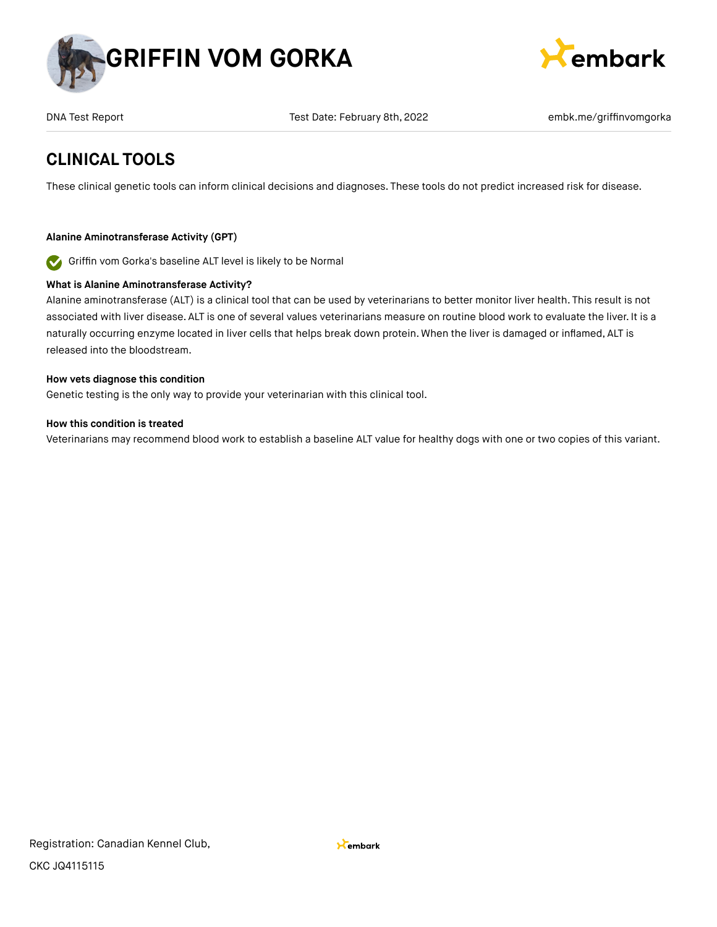



DNA Test Report Test Date: February 8th, 2022 **Emble and Test Constant Participal Act Act Provide** Report and Tes

## **CLINICAL TOOLS**

These clinical genetic tools can inform clinical decisions and diagnoses. These tools do not predict increased risk for disease.

## **Alanine Aminotransferase Activity (GPT)**

Griffin vom Gorka's baseline ALT level is likely to be Normal  $\bullet$ 

## **What is Alanine Aminotransferase Activity?**

Alanine aminotransferase (ALT) is a clinical tool that can be used by veterinarians to better monitor liver health. This result is not associated with liver disease. ALT is one of several values veterinarians measure on routine blood work to evaluate the liver. It is a naturally occurring enzyme located in liver cells that helps break down protein. When the liver is damaged or inflamed, ALT is released into the bloodstream.

### **How vets diagnose this condition**

Genetic testing is the only way to provide your veterinarian with this clinical tool.

### **How this condition is treated**

Veterinarians may recommend blood work to establish a baseline ALT value for healthy dogs with one or two copies of this variant.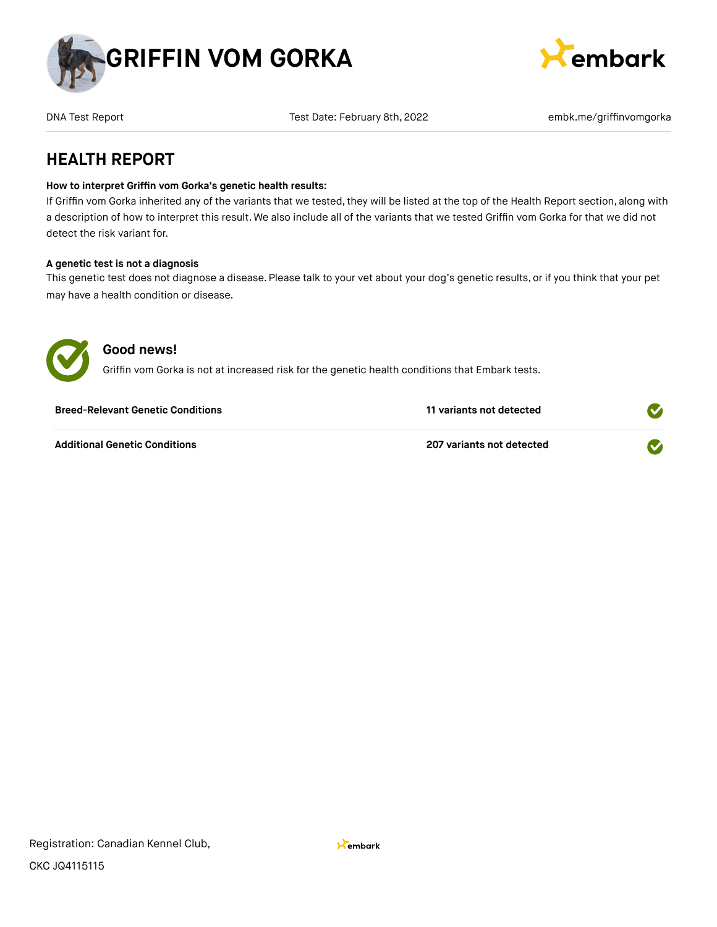



DNA Test Report Test Date: February 8th, 2022 **Emble and Test Constant Participal Act Act Provide** Report and Tes

## **HEALTH REPORT**

### **How to interpret Griffin vom Gorka's genetic health results:**

If Griffin vom Gorka inherited any of the variants that we tested, they will be listed at the top of the Health Report section, along with a description of how to interpret this result. We also include all of the variants that we tested Griffin vom Gorka for that we did not detect the risk variant for.

### **A genetic test is not a diagnosis**

This genetic test does not diagnose a disease. Please talk to your vet about your dog's genetic results, or if you think that your pet may have a health condition or disease.



## **Good news!**

Griffin vom Gorka is not at increased risk for the genetic health conditions that Embark tests.

| <b>Breed-Relevant Genetic Conditions</b> | 11 variants not detected  |  |
|------------------------------------------|---------------------------|--|
| <b>Additional Genetic Conditions</b>     | 207 variants not detected |  |

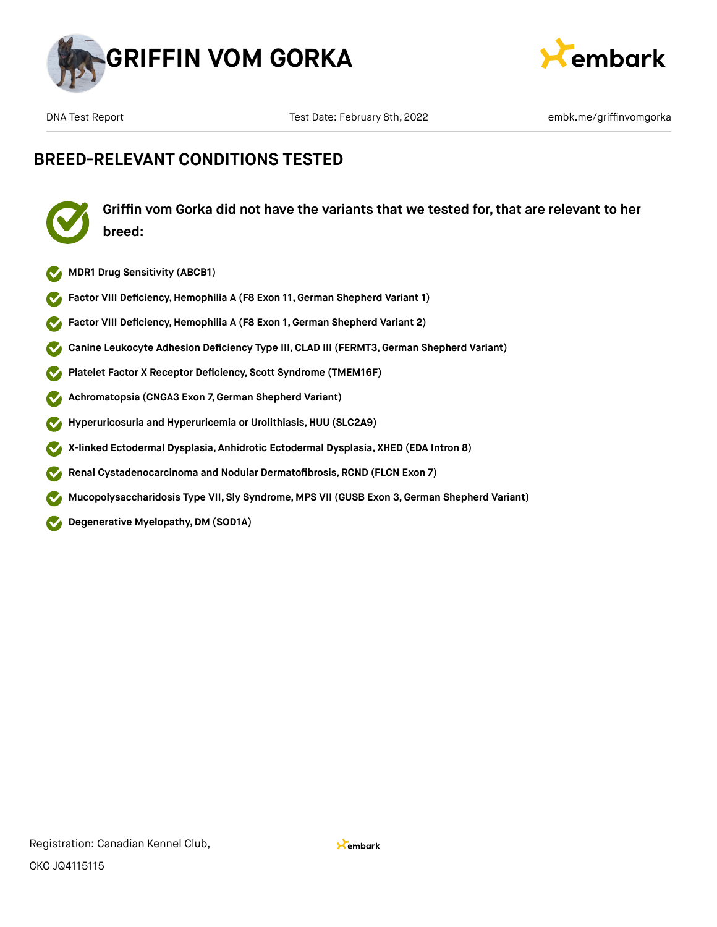



## **BREED-RELEVANT CONDITIONS TESTED**



**Griffin vom Gorka did not have the variants that we tested for, that are relevant to her breed:**

- **MDR1 Drug Sensitivity (ABCB1)**
- **Factor VIII Deficiency, Hemophilia A (F8 Exon 11, German Shepherd Variant 1)**
- **Factor VIII Deficiency,Hemophilia A (F8 Exon 1, German Shepherd Variant 2)**  $\bullet$
- **Canine Leukocyte Adhesion Deficiency Type III,CLAD III (FERMT3,German Shepherd Variant)**  $\blacktriangledown$
- **Platelet Factor X Receptor Deficiency, Scott Syndrome (TMEM16F)**  $\blacktriangledown$
- **Achromatopsia (CNGA3 Exon 7,German Shepherd Variant)**  $\blacktriangledown$
- **Hyperuricosuria and Hyperuricemia or Urolithiasis,HUU (SLC2A9)**  $\blacktriangledown$
- **X-linked Ectodermal Dysplasia, Anhidrotic Ectodermal Dysplasia, XHED (EDA Intron 8)**  $\blacktriangledown$
- **Renal Cystadenocarcinoma and Nodular Dermatofibrosis, RCND (FLCN Exon 7)**  $\boldsymbol{\mathcal{J}}$
- **Mucopolysaccharidosis Type VII, Sly Syndrome, MPS VII (GUSB Exon 3,German Shepherd Variant)**  $\blacktriangledown$
- **Degenerative Myelopathy,DM (SOD1A)**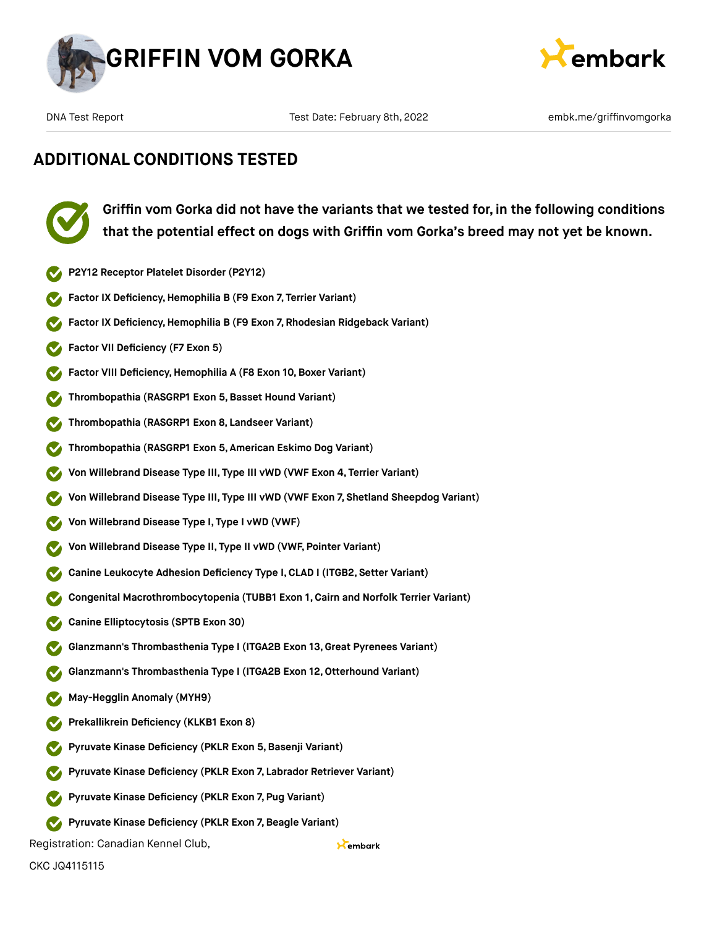



Kembark

## **ADDITIONAL CONDITIONS TESTED**



**Griffin vom Gorka did not have the variants that we tested for, in the following conditions that the potential effect on dogs with Griffin vom Gorka's breed may not yet be known.**

- **P2Y12 Receptor Platelet Disorder (P2Y12)**
- **Factor IX Deficiency,Hemophilia B (F9 Exon 7, Terrier Variant)**
- **Factor IX Deficiency,Hemophilia B (F9 Exon 7, Rhodesian Ridgeback Variant)**
- **Factor VII Deficiency (F7 Exon 5)**
- **Factor VIII Deficiency, Hemophilia A (F8 Exon 10, Boxer Variant)**
- **Thrombopathia (RASGRP1 Exon 5,Basset Hound Variant)**
- **Thrombopathia (RASGRP1 Exon 8, Landseer Variant)**
- **Thrombopathia (RASGRP1 Exon 5, American Eskimo Dog Variant)**
- **Von Willebrand Disease Type III, Type III vWD (VWF Exon 4, Terrier Variant)**
- **Von Willebrand Disease Type III, Type III vWD (VWF Exon 7, Shetland Sheepdog Variant)**
- **Von Willebrand Disease Type I, Type I vWD (VWF)**
- **Von Willebrand Disease Type II, Type II vWD (VWF, Pointer Variant)**
- **Canine Leukocyte Adhesion Deficiency Type I,CLAD I (ITGB2, Setter Variant)**
- **Congenital Macrothrombocytopenia (TUBB1 Exon 1, Cairn and Norfolk Terrier Variant)**
- **Canine Elliptocytosis (SPTB Exon 30)**
- **Glanzmann's Thrombasthenia Type I (ITGA2B Exon 13, Great Pyrenees Variant)**
- **Glanzmann's Thrombasthenia Type I (ITGA2B Exon 12,Otterhound Variant)**
- **May-Hegglin Anomaly (MYH9)**
- **Prekallikrein Deficiency (KLKB1 Exon 8)**
- **Pyruvate Kinase Deficiency (PKLR Exon 5,Basenji Variant)**
- **Pyruvate Kinase Deficiency (PKLR Exon 7, Labrador Retriever Variant)**
- **Pyruvate Kinase Deficiency (PKLR Exon 7, Pug Variant)**
- **Pyruvate Kinase Deficiency (PKLR Exon 7,Beagle Variant)**
- Registration: Canadian Kennel Club,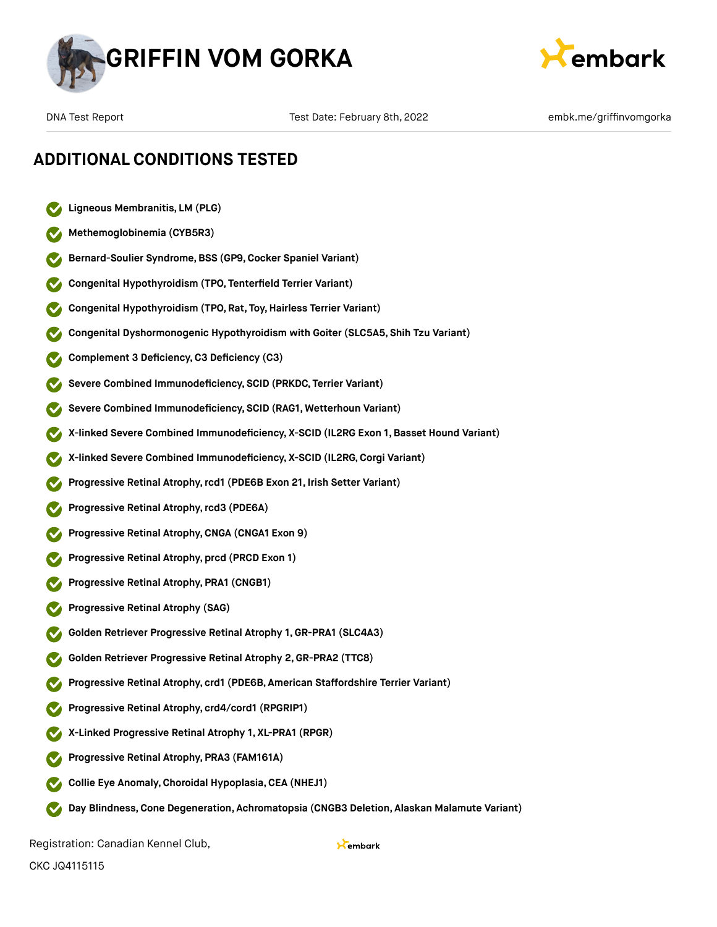



- **Ligneous Membranitis, LM (PLG)**
- **Methemoglobinemia (CYB5R3)**
- **Bernard-Soulier Syndrome,BSS (GP9,Cocker Spaniel Variant)**
- **Congenital Hypothyroidism (TPO, Tenterfield Terrier Variant)**
- **Congenital Hypothyroidism (TPO, Rat, Toy,Hairless Terrier Variant)**
- **Congenital Dyshormonogenic Hypothyroidism with Goiter (SLC5A5, Shih Tzu Variant)**
- **Complement 3 Deficiency,C3 Deficiency (C3)**
- **Severe Combined Immunodeficiency, SCID (PRKDC, Terrier Variant)**
- **Severe Combined Immunodeficiency, SCID (RAG1, Wetterhoun Variant)**
- **X-linked Severe Combined Immunodeficiency, X-SCID (IL2RG Exon 1, Basset Hound Variant)**
- **X-linked Severe Combined Immunodeficiency, X-SCID (IL2RG,Corgi Variant)**
- **Progressive Retinal Atrophy,rcd1 (PDE6B Exon 21, Irish Setter Variant)**
- **Progressive Retinal Atrophy,rcd3 (PDE6A)**
- **Progressive Retinal Atrophy,CNGA (CNGA1 Exon 9)**
- **Progressive Retinal Atrophy, prcd (PRCD Exon 1)**
- **Progressive Retinal Atrophy, PRA1 (CNGB1)**
- **Progressive Retinal Atrophy (SAG)**
- **Golden Retriever Progressive Retinal Atrophy 1, GR-PRA1 (SLC4A3)**
- **Golden Retriever Progressive Retinal Atrophy 2,GR-PRA2 (TTC8)**
- **Progressive Retinal Atrophy, crd1 (PDE6B, American Staffordshire Terrier Variant)**
- **Progressive Retinal Atrophy, crd4/cord1 (RPGRIP1)**
- **X-Linked Progressive Retinal Atrophy 1, XL-PRA1 (RPGR)**
- **Progressive Retinal Atrophy, PRA3 (FAM161A)**
- **Collie Eye Anomaly,Choroidal Hypoplasia,CEA (NHEJ1)**
- **Day Blindness,Cone Degeneration, Achromatopsia (CNGB3 Deletion, Alaskan Malamute Variant)**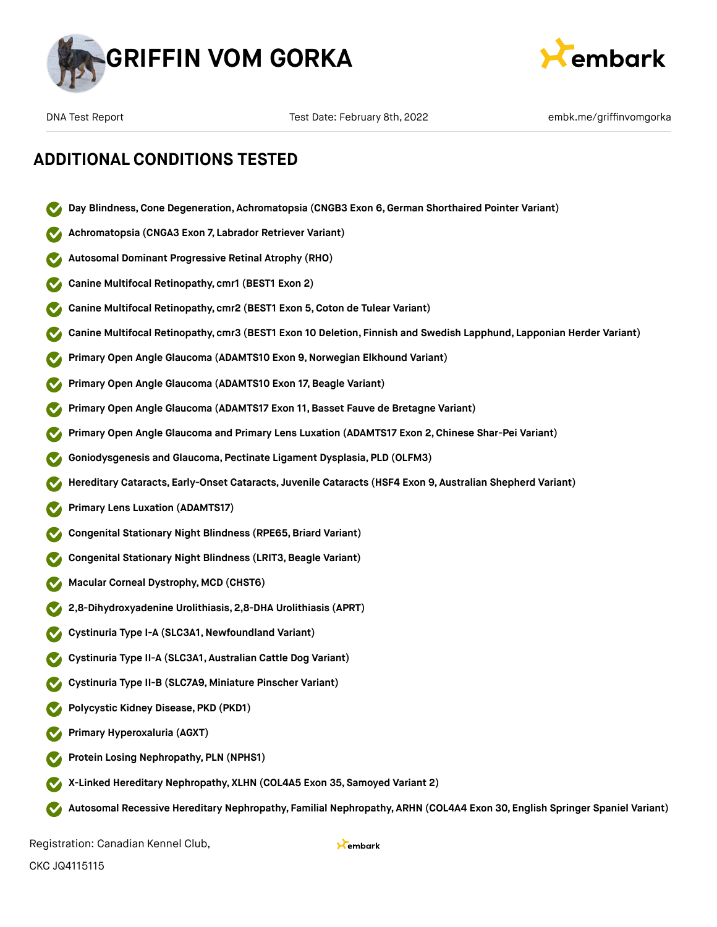



- **Day Blindness,Cone Degeneration, Achromatopsia (CNGB3 Exon 6,German Shorthaired Pointer Variant)**
- **Achromatopsia (CNGA3 Exon 7, Labrador Retriever Variant)**
- **Autosomal Dominant Progressive Retinal Atrophy (RHO)**
- **Canine Multifocal Retinopathy, cmr1 (BEST1 Exon 2)**
- **Canine Multifocal Retinopathy, cmr2 (BEST1 Exon 5,Coton de Tulear Variant)**
- **Canine Multifocal Retinopathy, cmr3 (BEST1 Exon 10 Deletion, Finnish and Swedish Lapphund, Lapponian Herder Variant)**
- **Primary Open Angle Glaucoma (ADAMTS10 Exon 9,Norwegian Elkhound Variant)**
- **Primary Open Angle Glaucoma (ADAMTS10 Exon 17, Beagle Variant)**
- **Primary Open Angle Glaucoma (ADAMTS17 Exon 11,Basset Fauve de Bretagne Variant)**
- **Primary Open Angle Glaucoma and Primary Lens Luxation (ADAMTS17 Exon 2,Chinese Shar-Pei Variant)**
- **Goniodysgenesis and Glaucoma, Pectinate Ligament Dysplasia, PLD (OLFM3)**
- **Hereditary Cataracts, Early-Onset Cataracts, Juvenile Cataracts (HSF4 Exon 9, Australian Shepherd Variant)**
- **Primary Lens Luxation (ADAMTS17)**
- **Congenital Stationary Night Blindness (RPE65, Briard Variant)**
- **Congenital Stationary Night Blindness (LRIT3, Beagle Variant)**
- **Macular Corneal Dystrophy, MCD (CHST6)**
- **2,8-Dihydroxyadenine Urolithiasis, 2,8-DHA Urolithiasis (APRT)**
- **Cystinuria Type I-A (SLC3A1,Newfoundland Variant)**
- **Cystinuria Type II-A (SLC3A1, Australian Cattle Dog Variant)**
- **Cystinuria Type II-B (SLC7A9, Miniature Pinscher Variant)**
- **Polycystic Kidney Disease, PKD (PKD1)**
- **Primary Hyperoxaluria (AGXT)**
- **Protein Losing Nephropathy, PLN (NPHS1)**
- **X-Linked Hereditary Nephropathy, XLHN (COL4A5 Exon 35, Samoyed Variant 2)**
- **Autosomal Recessive Hereditary Nephropathy, Familial Nephropathy, ARHN (COL4A4 Exon 30, English Springer Spaniel Variant)**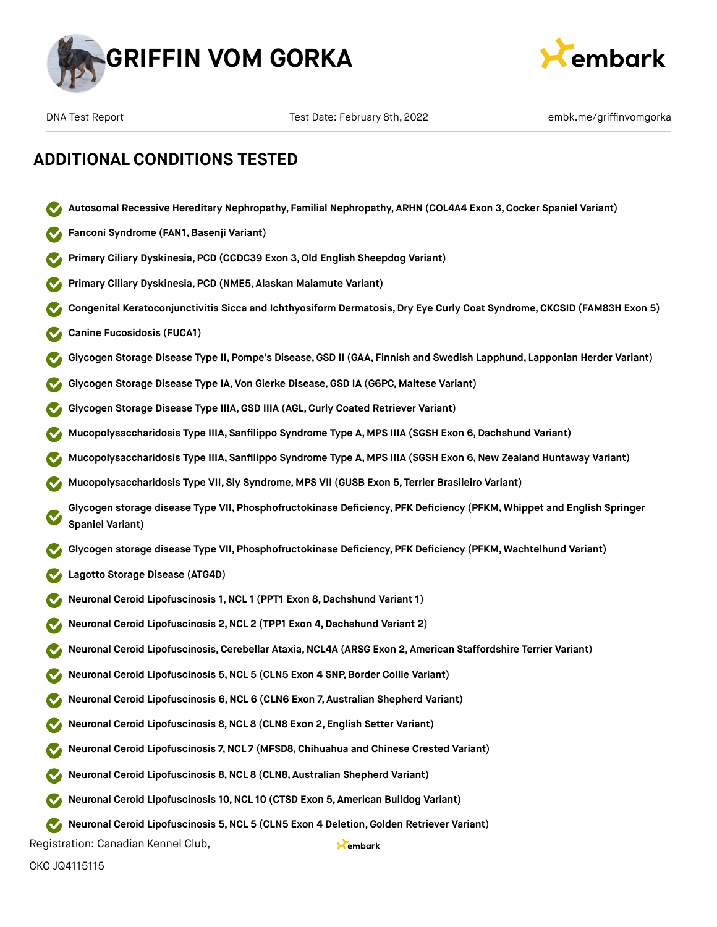



**Autosomal Recessive Hereditary Nephropathy, Familial Nephropathy, ARHN (COL4A4 Exon 3,Cocker Spaniel Variant)**

## **ADDITIONAL CONDITIONS TESTED**

**Fanconi Syndrome (FAN1,Basenji Variant) Primary Ciliary Dyskinesia, PCD (CCDC39 Exon 3,Old English Sheepdog Variant) Primary Ciliary Dyskinesia, PCD (NME5, Alaskan Malamute Variant) Congenital Keratoconjunctivitis Sicca and Ichthyosiform Dermatosis,Dry Eye Curly Coat Syndrome, CKCSID (FAM83H Exon 5) Canine Fucosidosis (FUCA1) Glycogen Storage Disease Type II, Pompe's Disease,GSD II (GAA, Finnish and Swedish Lapphund, Lapponian Herder Variant) Glycogen Storage Disease Type IA, Von Gierke Disease,GSD IA (G6PC, Maltese Variant) Glycogen Storage Disease Type IIIA,GSD IIIA (AGL,Curly Coated Retriever Variant) Mucopolysaccharidosis Type IIIA, Sanfilippo Syndrome Type A, MPS IIIA (SGSH Exon 6,Dachshund Variant) Mucopolysaccharidosis Type IIIA, Sanfilippo Syndrome Type A, MPS IIIA (SGSH Exon 6,New Zealand Huntaway Variant) Mucopolysaccharidosis Type VII, Sly Syndrome, MPS VII (GUSB Exon 5, Terrier Brasileiro Variant) Glycogen storage disease Type VII, Phosphofructokinase Deficiency, PFK Deficiency (PFKM, Whippet and English Springer Spaniel Variant) Glycogen storage disease Type VII, Phosphofructokinase Deficiency, PFK Deficiency (PFKM, Wachtelhund Variant) Lagotto Storage Disease (ATG4D) Neuronal Ceroid Lipofuscinosis 1,NCL 1 (PPT1 Exon 8,Dachshund Variant 1) Neuronal Ceroid Lipofuscinosis 2,NCL 2 (TPP1 Exon 4,Dachshund Variant 2) Neuronal Ceroid Lipofuscinosis,Cerebellar Ataxia,NCL4A (ARSG Exon 2, American Staffordshire Terrier Variant) Neuronal Ceroid Lipofuscinosis 5,NCL 5 (CLN5 Exon 4 SNP,Border Collie Variant) Neuronal Ceroid Lipofuscinosis 6,NCL 6 (CLN6 Exon 7, Australian Shepherd Variant) Neuronal Ceroid Lipofuscinosis 8,NCL 8 (CLN8 Exon 2, English Setter Variant) Neuronal Ceroid Lipofuscinosis 7,NCL 7 (MFSD8, Chihuahua and Chinese Crested Variant) Neuronal Ceroid Lipofuscinosis 8,NCL 8 (CLN8, Australian Shepherd Variant) Neuronal Ceroid Lipofuscinosis 10,NCL 10 (CTSD Exon 5, American Bulldog Variant) Neuronal Ceroid Lipofuscinosis 5,NCL 5 (CLN5 Exon 4 Deletion,Golden Retriever Variant)** Registration: Canadian Kennel Club, Kembark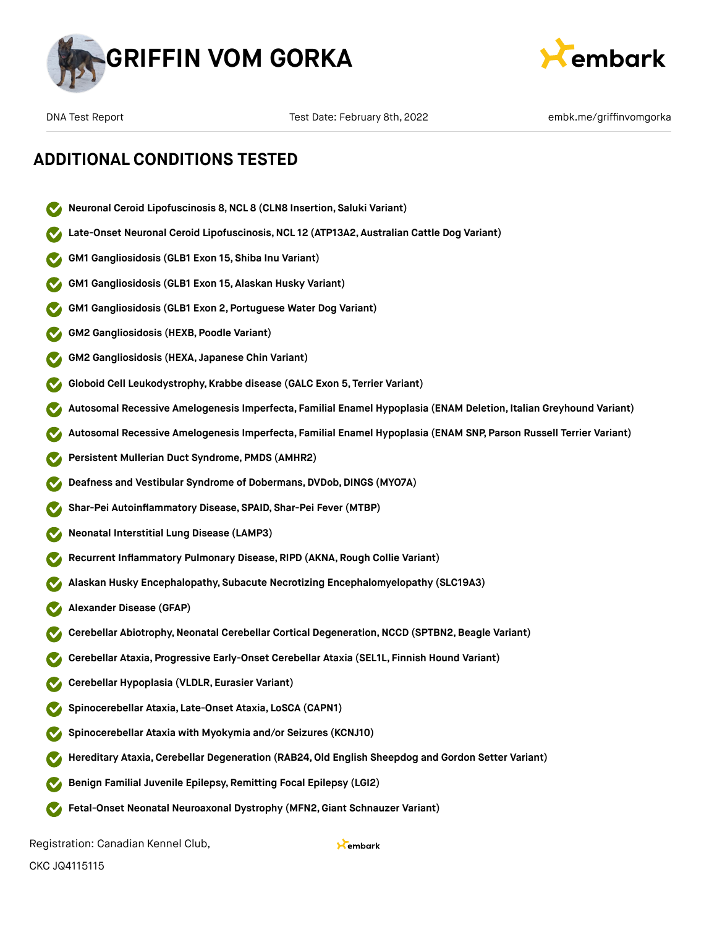



- **Neuronal Ceroid Lipofuscinosis 8,NCL 8 (CLN8 Insertion, Saluki Variant)**
- **Late-Onset Neuronal Ceroid Lipofuscinosis,NCL 12 (ATP13A2, Australian Cattle Dog Variant)**
- **GM1 Gangliosidosis (GLB1 Exon 15, Shiba Inu Variant)**
- **GM1 Gangliosidosis (GLB1 Exon 15, Alaskan Husky Variant)**
- **GM1 Gangliosidosis (GLB1 Exon 2, Portuguese Water Dog Variant)**
- **GM2 Gangliosidosis (HEXB, Poodle Variant)**
- **GM2 Gangliosidosis (HEXA, Japanese Chin Variant)**
- **Globoid Cell Leukodystrophy, Krabbe disease (GALC Exon 5, Terrier Variant)**
- **Autosomal Recessive Amelogenesis Imperfecta, Familial Enamel Hypoplasia (ENAM Deletion, Italian Greyhound Variant)**
- **Autosomal Recessive Amelogenesis Imperfecta, Familial Enamel Hypoplasia (ENAM SNP, Parson Russell Terrier Variant)**
- **Persistent Mullerian Duct Syndrome, PMDS (AMHR2)**
- **Deafness and Vestibular Syndrome of Dobermans,DVDob,DINGS (MYO7A)**
- **Shar-Pei Autoinflammatory Disease, SPAID, Shar-Pei Fever (MTBP)**
- **Neonatal Interstitial Lung Disease (LAMP3)**
- **Recurrent Inflammatory Pulmonary Disease, RIPD (AKNA, Rough Collie Variant)**
- **Alaskan Husky Encephalopathy, Subacute Necrotizing Encephalomyelopathy (SLC19A3)**
- **Alexander Disease (GFAP)**
- **Cerebellar Abiotrophy,Neonatal Cerebellar Cortical Degeneration,NCCD (SPTBN2,Beagle Variant)**
- **Cerebellar Ataxia, Progressive Early-Onset Cerebellar Ataxia (SEL1L, Finnish Hound Variant)**
- **Cerebellar Hypoplasia (VLDLR, Eurasier Variant)**
- **Spinocerebellar Ataxia, Late-Onset Ataxia, LoSCA (CAPN1)**
- **Spinocerebellar Ataxia with Myokymia and/or Seizures (KCNJ10)**
- **Hereditary Ataxia,Cerebellar Degeneration (RAB24,Old English Sheepdog and Gordon Setter Variant)**
- **Benign Familial Juvenile Epilepsy, Remitting Focal Epilepsy (LGI2)**
- **Fetal-Onset Neonatal Neuroaxonal Dystrophy (MFN2,Giant Schnauzer Variant)**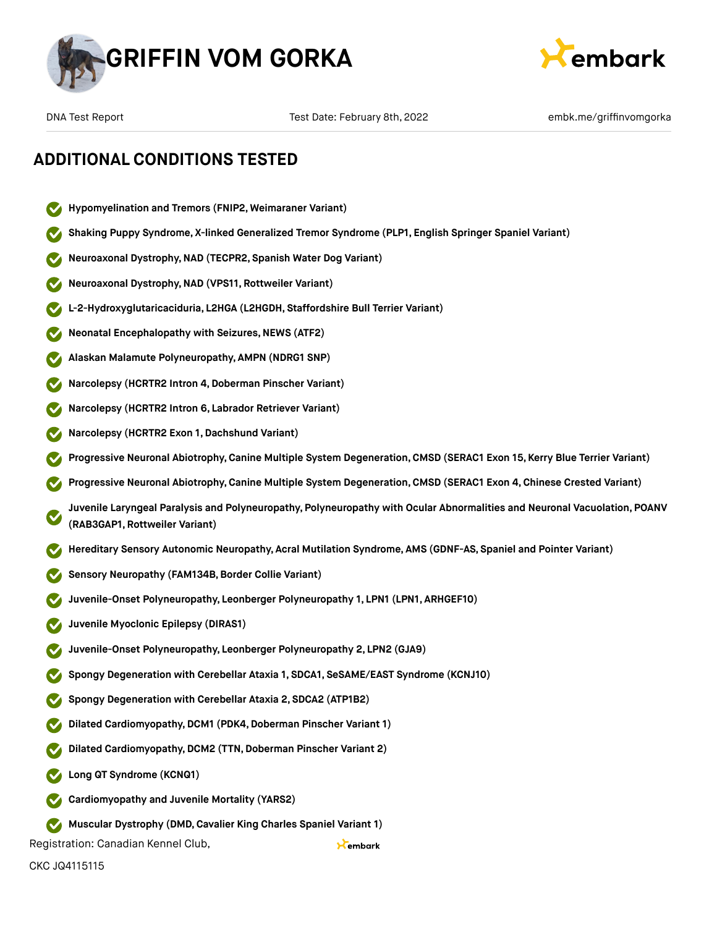



## **ADDITIONAL CONDITIONS TESTED**

- **Hypomyelination and Tremors (FNIP2, Weimaraner Variant)**
- **Shaking Puppy Syndrome, X-linked Generalized Tremor Syndrome (PLP1, English Springer Spaniel Variant)**
- **Neuroaxonal Dystrophy,NAD (TECPR2, Spanish Water Dog Variant)**
- **Neuroaxonal Dystrophy,NAD (VPS11, Rottweiler Variant)**
- **L-2-Hydroxyglutaricaciduria, L2HGA (L2HGDH, Staffordshire Bull Terrier Variant)**
- **Neonatal Encephalopathy with Seizures, NEWS (ATF2)**
- **Alaskan Malamute Polyneuropathy, AMPN (NDRG1 SNP)**
- **Narcolepsy (HCRTR2 Intron 4,Doberman Pinscher Variant)**
- **Narcolepsy (HCRTR2 Intron 6, Labrador Retriever Variant)**
- **Narcolepsy (HCRTR2 Exon 1,Dachshund Variant)**
- **Progressive Neuronal Abiotrophy,Canine Multiple System Degeneration,CMSD (SERAC1 Exon 15, Kerry Blue Terrier Variant)**
- **Progressive Neuronal Abiotrophy,Canine Multiple System Degeneration,CMSD (SERAC1 Exon 4, Chinese Crested Variant)**
- **Juvenile Laryngeal Paralysis and Polyneuropathy, Polyneuropathy with Ocular Abnormalities and Neuronal Vacuolation, POANV (RAB3GAP1, Rottweiler Variant)**

Kembark

- **Hereditary Sensory Autonomic Neuropathy, Acral Mutilation Syndrome, AMS (GDNF-AS, Spaniel and Pointer Variant)**
- **Sensory Neuropathy (FAM134B,Border Collie Variant)**
- **Juvenile-Onset Polyneuropathy, Leonberger Polyneuropathy 1, LPN1 (LPN1, ARHGEF10)**
- **Juvenile Myoclonic Epilepsy (DIRAS1)**
- **Juvenile-Onset Polyneuropathy, Leonberger Polyneuropathy 2, LPN2 (GJA9)**
- **Spongy Degeneration with Cerebellar Ataxia 1, SDCA1, SeSAME/EAST Syndrome (KCNJ10)**
- **Spongy Degeneration with Cerebellar Ataxia 2, SDCA2 (ATP1B2)**
- **Dilated Cardiomyopathy, DCM1 (PDK4, Doberman Pinscher Variant 1)**
- **Dilated Cardiomyopathy, DCM2 (TTN, Doberman Pinscher Variant 2)**
- **Long QT Syndrome (KCNQ1)**
- **Cardiomyopathy and Juvenile Mortality (YARS2)**
- **Muscular Dystrophy (DMD,Cavalier King Charles Spaniel Variant 1)**  $\bullet$
- Registration: Canadian Kennel Club,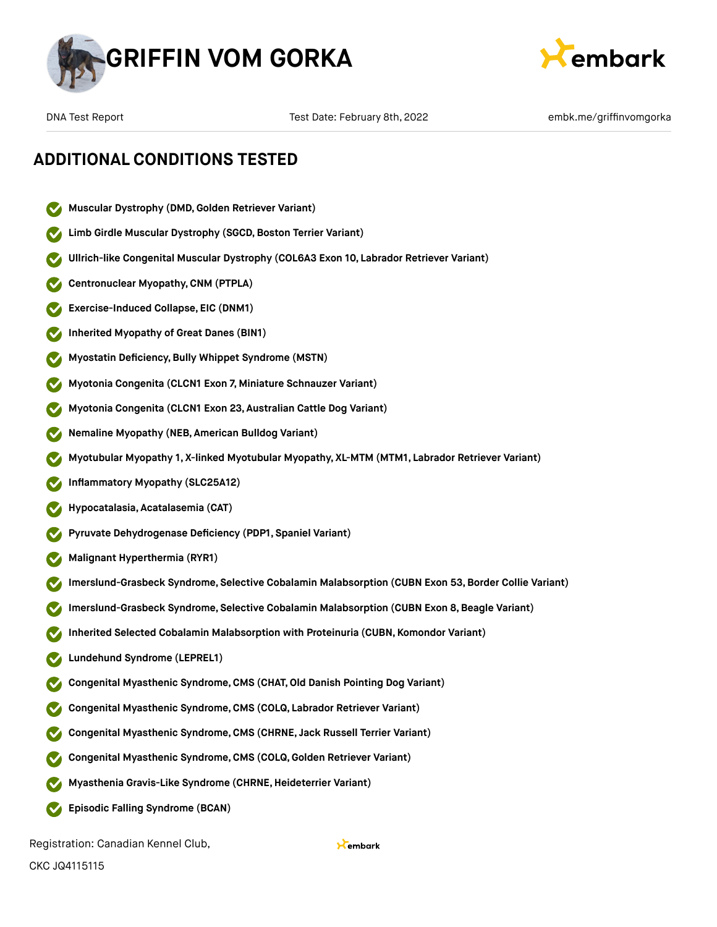



## **ADDITIONAL CONDITIONS TESTED**

- **Muscular Dystrophy (DMD,Golden Retriever Variant)**
- **Limb Girdle Muscular Dystrophy (SGCD, Boston Terrier Variant)**
- **Ullrich-like Congenital Muscular Dystrophy (COL6A3 Exon 10, Labrador Retriever Variant)**
- **Centronuclear Myopathy,CNM (PTPLA)**
- **Exercise-Induced Collapse, EIC (DNM1)**
- **Inherited Myopathy of Great Danes (BIN1)**
- **Myostatin Deficiency,Bully Whippet Syndrome (MSTN)**
- **Myotonia Congenita (CLCN1 Exon 7, Miniature Schnauzer Variant)**
- **Myotonia Congenita (CLCN1 Exon 23, Australian Cattle Dog Variant)**
- **Nemaline Myopathy (NEB, American Bulldog Variant)**
- **Myotubular Myopathy 1, X-linked Myotubular Myopathy, XL-MTM (MTM1, Labrador Retriever Variant)**
- **Inflammatory Myopathy (SLC25A12)**
- **Hypocatalasia, Acatalasemia (CAT)**
- **Pyruvate Dehydrogenase Deficiency (PDP1, Spaniel Variant)**
- **Malignant Hyperthermia (RYR1)**
- **Imerslund-Grasbeck Syndrome, Selective Cobalamin Malabsorption (CUBN Exon 53,Border Collie Variant)**
- **Imerslund-Grasbeck Syndrome, Selective Cobalamin Malabsorption (CUBN Exon 8,Beagle Variant)**
- **Inherited Selected Cobalamin Malabsorption with Proteinuria (CUBN, Komondor Variant)**
- **Lundehund Syndrome (LEPREL1)**
- **Congenital Myasthenic Syndrome,CMS (CHAT,Old Danish Pointing Dog Variant)**
- **Congenital Myasthenic Syndrome,CMS (COLQ, Labrador Retriever Variant)**
- **Congenital Myasthenic Syndrome,CMS (CHRNE, Jack Russell Terrier Variant)**
- **Congenital Myasthenic Syndrome,CMS (COLQ, Golden Retriever Variant)**
- **Myasthenia Gravis-Like Syndrome (CHRNE,Heideterrier Variant)**
- **Episodic Falling Syndrome (BCAN)**

Registration: Canadian Kennel Club,

CKC JQ4115115

#### Kembark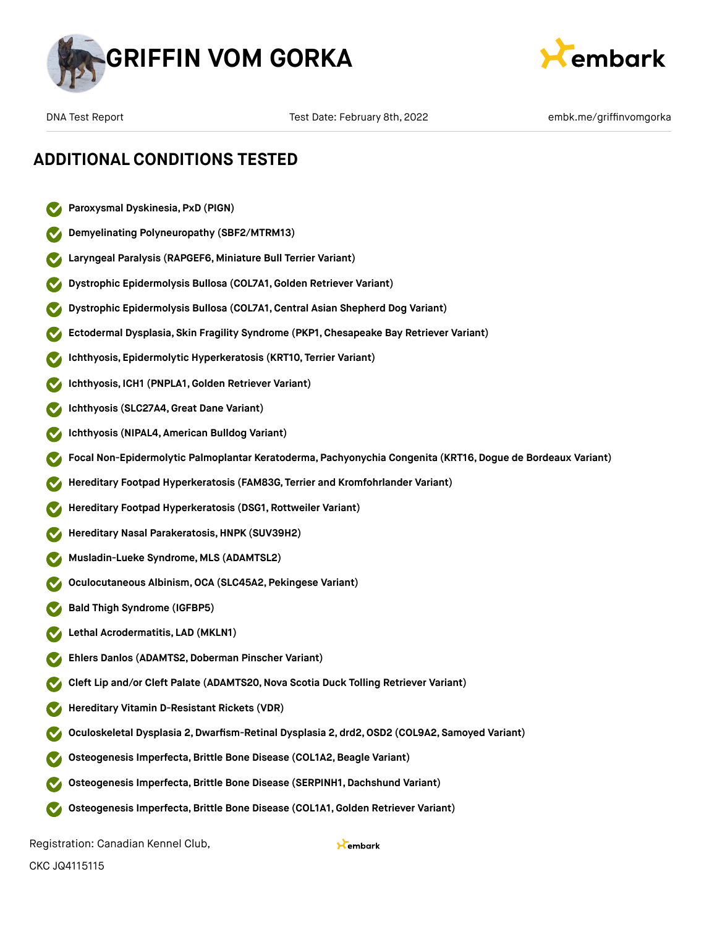



- **Paroxysmal Dyskinesia, PxD (PIGN)**
- **Demyelinating Polyneuropathy (SBF2/MTRM13)**
- **Laryngeal Paralysis (RAPGEF6, Miniature Bull Terrier Variant)**
- **Dystrophic Epidermolysis Bullosa (COL7A1,Golden Retriever Variant)**
- **Dystrophic Epidermolysis Bullosa (COL7A1,Central Asian Shepherd Dog Variant)**
- **Ectodermal Dysplasia, Skin Fragility Syndrome (PKP1, Chesapeake Bay Retriever Variant)**
- **Ichthyosis, Epidermolytic Hyperkeratosis (KRT10, Terrier Variant)**
- **Ichthyosis, ICH1 (PNPLA1,Golden Retriever Variant)**
- **Ichthyosis (SLC27A4,Great Dane Variant)**
- **Ichthyosis (NIPAL4, American Bulldog Variant)**
- **Focal Non-Epidermolytic Palmoplantar Keratoderma, Pachyonychia Congenita (KRT16, Dogue de Bordeaux Variant)**
- **Hereditary Footpad Hyperkeratosis (FAM83G, Terrier and Kromfohrlander Variant)**
- **Hereditary Footpad Hyperkeratosis (DSG1, Rottweiler Variant)**
- **Hereditary Nasal Parakeratosis,HNPK (SUV39H2)**
- **Musladin-Lueke Syndrome, MLS (ADAMTSL2)**
- **Oculocutaneous Albinism,OCA (SLC45A2, Pekingese Variant)**
- **Bald Thigh Syndrome (IGFBP5)**
- **Lethal Acrodermatitis, LAD (MKLN1)**
- **Ehlers Danlos (ADAMTS2,Doberman Pinscher Variant)**
- **Cleft Lip and/or Cleft Palate (ADAMTS20,Nova Scotia Duck Tolling Retriever Variant)**
- **Hereditary Vitamin D-Resistant Rickets (VDR)**
- **Oculoskeletal Dysplasia 2,Dwarfism-Retinal Dysplasia 2, drd2,OSD2 (COL9A2, Samoyed Variant)**
- **Osteogenesis Imperfecta,Brittle Bone Disease (COL1A2,Beagle Variant)**
- **Osteogenesis Imperfecta,Brittle Bone Disease (SERPINH1, Dachshund Variant)**
- **Osteogenesis Imperfecta,Brittle Bone Disease (COL1A1,Golden Retriever Variant)**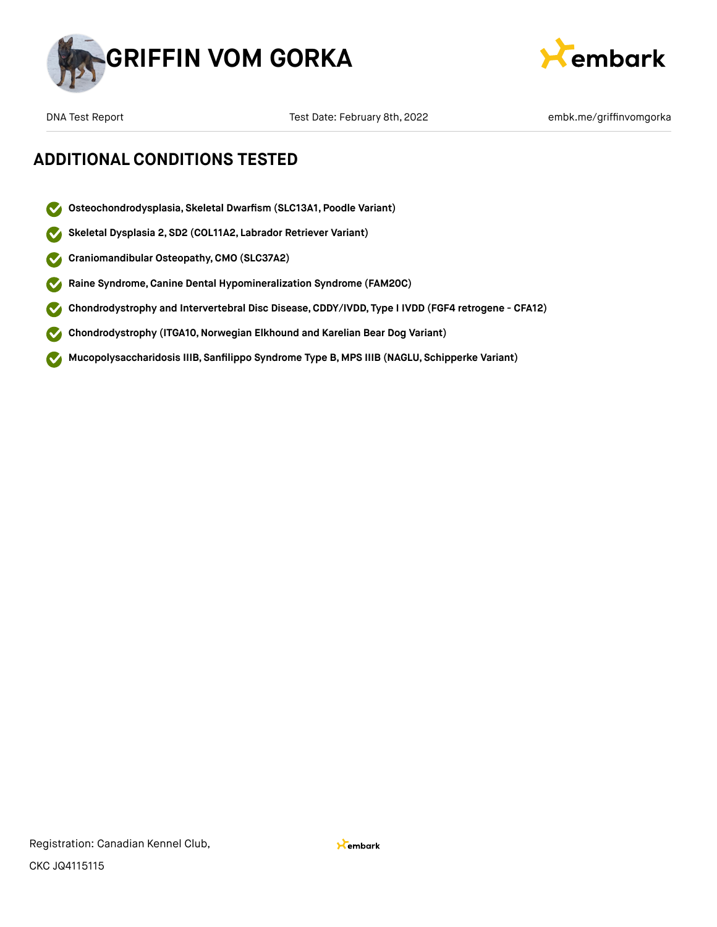



DNA Test Report Test Date: February 8th, 2022 **Emble and Test Constant Participal Act Act Provide** Report and Tes

- **Osteochondrodysplasia, Skeletal Dwarfism (SLC13A1, Poodle Variant)**  $\blacktriangledown$
- **Skeletal Dysplasia 2, SD2 (COL11A2, Labrador Retriever Variant)**
- **Craniomandibular Osteopathy,CMO (SLC37A2)**  $\blacktriangledown$
- **Raine Syndrome,Canine Dental Hypomineralization Syndrome (FAM20C)**  $\blacktriangledown$
- **Chondrodystrophy and Intervertebral Disc Disease,CDDY/IVDD, Type I IVDD (FGF4 retrogene CFA12)**  $\blacktriangledown$
- **Chondrodystrophy (ITGA10,Norwegian Elkhound and Karelian Bear Dog Variant)**  $\blacktriangledown$
- **Mucopolysaccharidosis IIIB, Sanfilippo Syndrome Type B, MPS IIIB (NAGLU, Schipperke Variant)**  $\bullet$